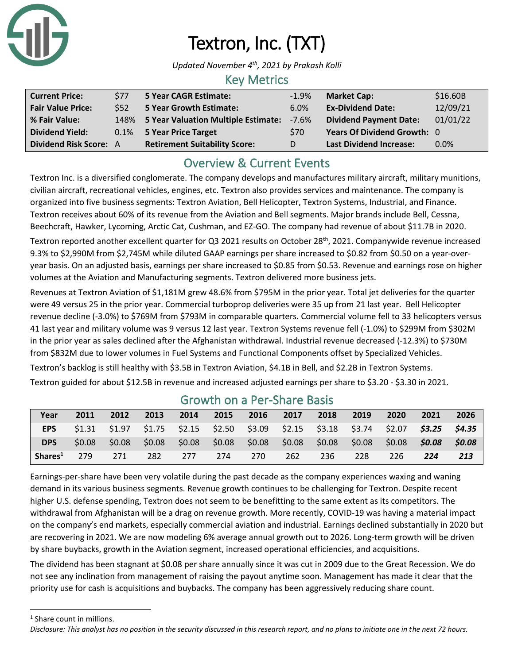

# Textron, Inc. (TXT)

*Updated November 4 th, 2021 by Prakash Kolli*

## Key Metrics

| <b>Current Price:</b>         | <b>S77</b> | <b>5 Year CAGR Estimate:</b>             | $-1.9\%$   | <b>Market Cap:</b>             | \$16.60B |
|-------------------------------|------------|------------------------------------------|------------|--------------------------------|----------|
| <b>Fair Value Price:</b>      | \$52       | <b>5 Year Growth Estimate:</b>           | 6.0%       | <b>Ex-Dividend Date:</b>       | 12/09/21 |
| % Fair Value:                 |            | 148% 5 Year Valuation Multiple Estimate: | $-7.6\%$   | <b>Dividend Payment Date:</b>  | 01/01/22 |
| <b>Dividend Yield:</b>        |            | 0.1% 5 Year Price Target                 | <b>S70</b> | Years Of Dividend Growth: 0    |          |
| <b>Dividend Risk Score: A</b> |            | <b>Retirement Suitability Score:</b>     | D          | <b>Last Dividend Increase:</b> | 0.0%     |

## Overview & Current Events

Textron Inc. is a diversified conglomerate. The company develops and manufactures military aircraft, military munitions, civilian aircraft, recreational vehicles, engines, etc. Textron also provides services and maintenance. The company is organized into five business segments: Textron Aviation, Bell Helicopter, Textron Systems, Industrial, and Finance. Textron receives about 60% of its revenue from the Aviation and Bell segments. Major brands include Bell, Cessna, Beechcraft, Hawker, Lycoming, Arctic Cat, Cushman, and EZ-GO. The company had revenue of about \$11.7B in 2020. Textron reported another excellent quarter for Q3 2021 results on October 28<sup>th</sup>, 2021. Companywide revenue increased

9.3% to \$2,990M from \$2,745M while diluted GAAP earnings per share increased to \$0.82 from \$0.50 on a year-overyear basis. On an adjusted basis, earnings per share increased to \$0.85 from \$0.53. Revenue and earnings rose on higher volumes at the Aviation and Manufacturing segments. Textron delivered more business jets.

Revenues at Textron Aviation of \$1,181M grew 48.6% from \$795M in the prior year. Total jet deliveries for the quarter were 49 versus 25 in the prior year. Commercial turboprop deliveries were 35 up from 21 last year. Bell Helicopter revenue decline (-3.0%) to \$769M from \$793M in comparable quarters. Commercial volume fell to 33 helicopters versus 41 last year and military volume was 9 versus 12 last year. Textron Systems revenue fell (-1.0%) to \$299M from \$302M in the prior year as sales declined after the Afghanistan withdrawal. Industrial revenue decreased (-12.3%) to \$730M from \$832M due to lower volumes in Fuel Systems and Functional Components offset by Specialized Vehicles.

Textron's backlog is still healthy with \$3.5B in Textron Aviation, \$4.1B in Bell, and \$2.2B in Textron Systems. Textron guided for about \$12.5B in revenue and increased adjusted earnings per share to \$3.20 - \$3.30 in 2021.

| Year                | 2011   | 2012   | 2013 | 2014 | 2015 | 2016 | 2017 | 2018                                                                                    | 2019 | 2020   | 2021   | 2026   |
|---------------------|--------|--------|------|------|------|------|------|-----------------------------------------------------------------------------------------|------|--------|--------|--------|
| <b>EPS</b>          |        |        |      |      |      |      |      | $$1.31$ $$1.97$ $$1.75$ $$2.15$ $$2.50$ $$3.09$ $$2.15$ $$3.18$ $$3.74$ $$2.07$ $$3.25$ |      |        |        | \$4.35 |
| <b>DPS</b>          | \$0.08 | \$0.08 |      |      |      |      |      | $$0.08$ \$0.08 \$0.08 \$0.08 \$0.08 \$0.08 \$0.08                                       |      | \$0.08 | \$0.08 | \$0.08 |
| Shares <sup>1</sup> | 279    | 271    | 282  | 277  | 274  | 270  | 262  | -236                                                                                    | 228  | 226.   | 224    | 213    |

### Growth on a Per-Share Basis

Earnings-per-share have been very volatile during the past decade as the company experiences waxing and waning demand in its various business segments. Revenue growth continues to be challenging for Textron. Despite recent higher U.S. defense spending, Textron does not seem to be benefitting to the same extent as its competitors. The withdrawal from Afghanistan will be a drag on revenue growth. More recently, COVID-19 was having a material impact on the company's end markets, especially commercial aviation and industrial. Earnings declined substantially in 2020 but are recovering in 2021. We are now modeling 6% average annual growth out to 2026. Long-term growth will be driven by share buybacks, growth in the Aviation segment, increased operational efficiencies, and acquisitions.

The dividend has been stagnant at \$0.08 per share annually since it was cut in 2009 due to the Great Recession. We do not see any inclination from management of raising the payout anytime soon. Management has made it clear that the priority use for cash is acquisitions and buybacks. The company has been aggressively reducing share count.

<sup>1</sup> Share count in millions.

*Disclosure: This analyst has no position in the security discussed in this research report, and no plans to initiate one in the next 72 hours.*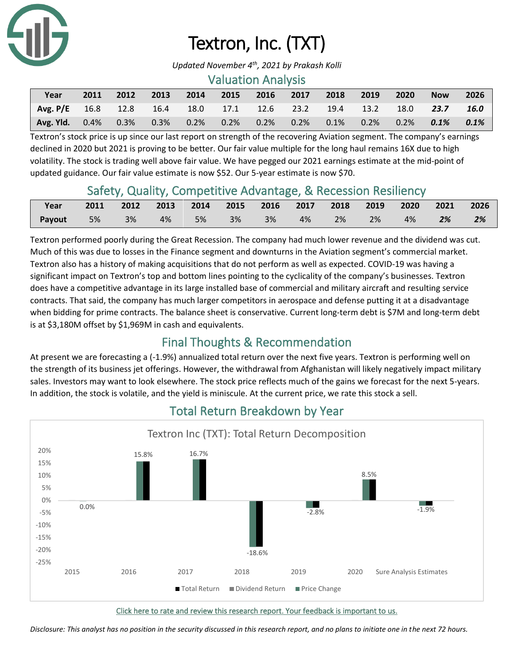

# Textron, Inc. (TXT)

*Updated November 4 th, 2021 by Prakash Kolli*

#### Valuation Analysis

| Year                                                            | 2011 | 2012 | 2013 | 2014 | 2015 | 2016 2017                                                                       | 2018 2019 | 2020 | <b>Now</b> | 2026    |
|-----------------------------------------------------------------|------|------|------|------|------|---------------------------------------------------------------------------------|-----------|------|------------|---------|
| Avg. P/E 16.8 12.8 16.4 18.0 17.1 12.6 23.2 19.4 13.2 18.0 23.7 |      |      |      |      |      |                                                                                 |           |      |            | 16.0    |
| <b>Avg. Yld.</b> 0.4%                                           |      |      |      |      |      | $0.3\%$ $0.3\%$ $0.2\%$ $0.2\%$ $0.2\%$ $0.2\%$ $0.1\%$ $0.2\%$ $0.2\%$ $0.2\%$ |           |      |            | $0.1\%$ |

Textron's stock price is up since our last report on strength of the recovering Aviation segment. The company's earnings declined in 2020 but 2021 is proving to be better. Our fair value multiple for the long haul remains 16X due to high volatility. The stock is trading well above fair value. We have pegged our 2021 earnings estimate at the mid-point of updated guidance. Our fair value estimate is now \$52. Our 5-year estimate is now \$70.

## Safety, Quality, Competitive Advantage, & Recession Resiliency

| Year                                                 | 2011 2012 2013 2014 2015 2016 2017 2018 2019 2020 2021 2026 |  |  |  |  |  |  |
|------------------------------------------------------|-------------------------------------------------------------|--|--|--|--|--|--|
| <b>Payout</b> 5% 3% 4% 5% 3% 3% 4% 2% 2% 4% 2% 2% 2% |                                                             |  |  |  |  |  |  |

Textron performed poorly during the Great Recession. The company had much lower revenue and the dividend was cut. Much of this was due to losses in the Finance segment and downturns in the Aviation segment's commercial market. Textron also has a history of making acquisitions that do not perform as well as expected. COVID-19 was having a significant impact on Textron's top and bottom lines pointing to the cyclicality of the company's businesses. Textron does have a competitive advantage in its large installed base of commercial and military aircraft and resulting service contracts. That said, the company has much larger competitors in aerospace and defense putting it at a disadvantage when bidding for prime contracts. The balance sheet is conservative. Current long-term debt is \$7M and long-term debt is at \$3,180M offset by \$1,969M in cash and equivalents.

## Final Thoughts & Recommendation

At present we are forecasting a (-1.9%) annualized total return over the next five years. Textron is performing well on the strength of its business jet offerings. However, the withdrawal from Afghanistan will likely negatively impact military sales. Investors may want to look elsewhere. The stock price reflects much of the gains we forecast for the next 5-years. In addition, the stock is volatile, and the yield is miniscule. At the current price, we rate this stock a sell.



## Total Return Breakdown by Year

[Click here to rate and review this research report. Your feedback is important to us.](https://suredividend.typeform.com/to/e7Q96E)

*Disclosure: This analyst has no position in the security discussed in this research report, and no plans to initiate one in the next 72 hours.*